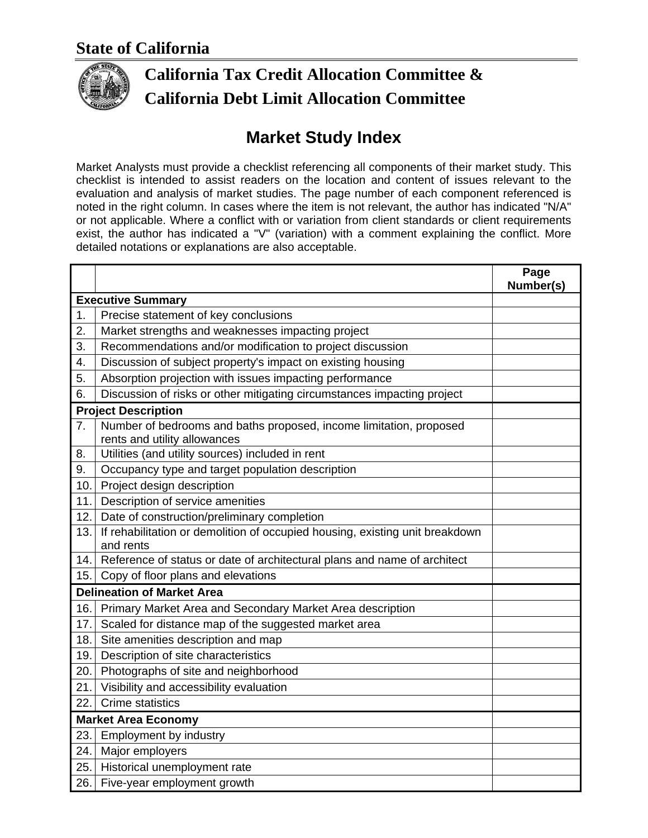

## **California Tax Credit Allocation Committee & California Debt Limit Allocation Committee**

## **Market Study Index**

Market Analysts must provide a checklist referencing all components of their market study. This checklist is intended to assist readers on the location and content of issues relevant to the evaluation and analysis of market studies. The page number of each component referenced is noted in the right column. In cases where the item is not relevant, the author has indicated "N/A" or not applicable. Where a conflict with or variation from client standards or client requirements exist, the author has indicated a "V" (variation) with a comment explaining the conflict. More detailed notations or explanations are also acceptable.

|                                   |                                                                                                    | Page<br>Number(s) |  |
|-----------------------------------|----------------------------------------------------------------------------------------------------|-------------------|--|
| <b>Executive Summary</b>          |                                                                                                    |                   |  |
| 1.                                | Precise statement of key conclusions                                                               |                   |  |
| 2.                                | Market strengths and weaknesses impacting project                                                  |                   |  |
| 3.                                | Recommendations and/or modification to project discussion                                          |                   |  |
| 4.                                | Discussion of subject property's impact on existing housing                                        |                   |  |
| 5.                                | Absorption projection with issues impacting performance                                            |                   |  |
| 6.                                | Discussion of risks or other mitigating circumstances impacting project                            |                   |  |
| <b>Project Description</b>        |                                                                                                    |                   |  |
| 7.                                | Number of bedrooms and baths proposed, income limitation, proposed<br>rents and utility allowances |                   |  |
| 8.                                | Utilities (and utility sources) included in rent                                                   |                   |  |
| 9.                                | Occupancy type and target population description                                                   |                   |  |
| 10.                               | Project design description                                                                         |                   |  |
| 11.                               | Description of service amenities                                                                   |                   |  |
| 12.                               | Date of construction/preliminary completion                                                        |                   |  |
| 13.                               | If rehabilitation or demolition of occupied housing, existing unit breakdown<br>and rents          |                   |  |
| 14.                               | Reference of status or date of architectural plans and name of architect                           |                   |  |
| 15.                               | Copy of floor plans and elevations                                                                 |                   |  |
| <b>Delineation of Market Area</b> |                                                                                                    |                   |  |
| 16.                               | Primary Market Area and Secondary Market Area description                                          |                   |  |
| 17.                               | Scaled for distance map of the suggested market area                                               |                   |  |
| 18.                               | Site amenities description and map                                                                 |                   |  |
| 19.                               | Description of site characteristics                                                                |                   |  |
| 20.                               | Photographs of site and neighborhood                                                               |                   |  |
| 21.                               | Visibility and accessibility evaluation                                                            |                   |  |
| 22.                               | Crime statistics                                                                                   |                   |  |
| <b>Market Area Economy</b>        |                                                                                                    |                   |  |
| 23.                               | Employment by industry                                                                             |                   |  |
| 24.                               | Major employers                                                                                    |                   |  |
| 25.                               | Historical unemployment rate                                                                       |                   |  |
| 26.                               | Five-year employment growth                                                                        |                   |  |